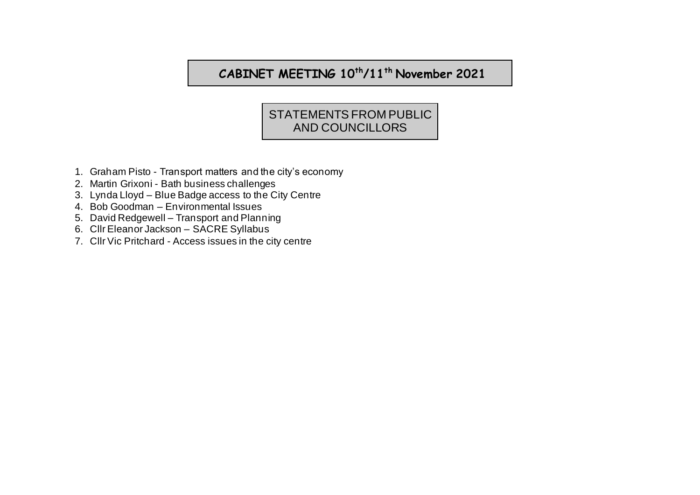## **CABINET MEETING 10th/11th November 2021**

## STATEMENTS FROM PUBLIC AND COUNCILLORS

- 1. Graham Pisto Transport matters and the city's economy
- 2. Martin Grixoni Bath business challenges
- 3. Lynda Lloyd Blue Badge access to the City Centre
- 4. Bob Goodman Environmental Issues
- 5. David Redgewell Transport and Planning
- 6. Cllr Eleanor Jackson SACRE Syllabus
- 7. Cllr Vic Pritchard Access issues in the city centre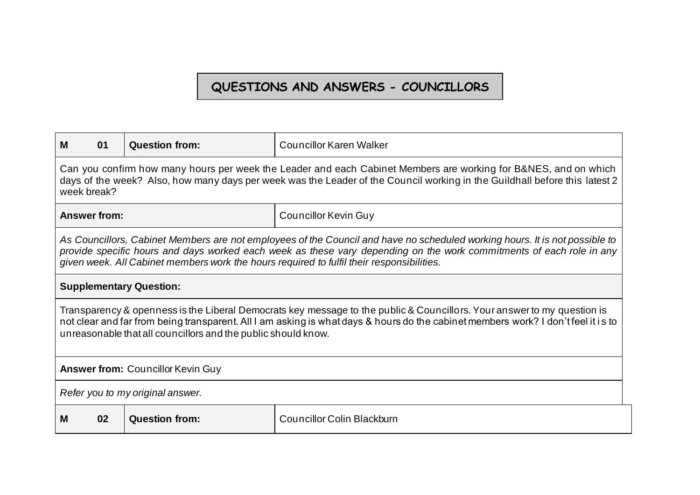## **QUESTIONS AND ANSWERS - COUNCILLORS**

| м<br>01                                                                                                                                                                                                                                                                                                                       | <b>Question from:</b>                                                                                                                                                                                                                                                                                                                            | <b>Councillor Karen Walker</b>    |  |
|-------------------------------------------------------------------------------------------------------------------------------------------------------------------------------------------------------------------------------------------------------------------------------------------------------------------------------|--------------------------------------------------------------------------------------------------------------------------------------------------------------------------------------------------------------------------------------------------------------------------------------------------------------------------------------------------|-----------------------------------|--|
| Can you confirm how many hours per week the Leader and each Cabinet Members are working for B&NES, and on which<br>days of the week? Also, how many days per week was the Leader of the Council working in the Guildhall before this latest 2<br>week break?                                                                  |                                                                                                                                                                                                                                                                                                                                                  |                                   |  |
| <b>Answer from:</b>                                                                                                                                                                                                                                                                                                           |                                                                                                                                                                                                                                                                                                                                                  | <b>Councillor Kevin Guy</b>       |  |
|                                                                                                                                                                                                                                                                                                                               | As Councillors, Cabinet Members are not employees of the Council and have no scheduled working hours. It is not possible to<br>provide specific hours and days worked each week as these vary depending on the work commitments of each role in any<br>given week. All Cabinet members work the hours required to fulfil their responsibilities. |                                   |  |
| <b>Supplementary Question:</b>                                                                                                                                                                                                                                                                                                |                                                                                                                                                                                                                                                                                                                                                  |                                   |  |
| Transparency & openness is the Liberal Democrats key message to the public & Councillors. Your answer to my question is<br>not clear and far from being transparent. All I am asking is what days & hours do the cabinet members work? I don't feel it is to<br>unreasonable that all councillors and the public should know. |                                                                                                                                                                                                                                                                                                                                                  |                                   |  |
| <b>Answer from: Councillor Kevin Guy</b>                                                                                                                                                                                                                                                                                      |                                                                                                                                                                                                                                                                                                                                                  |                                   |  |
| Refer you to my original answer.                                                                                                                                                                                                                                                                                              |                                                                                                                                                                                                                                                                                                                                                  |                                   |  |
| 02<br>м                                                                                                                                                                                                                                                                                                                       | <b>Question from:</b>                                                                                                                                                                                                                                                                                                                            | <b>Councillor Colin Blackburn</b> |  |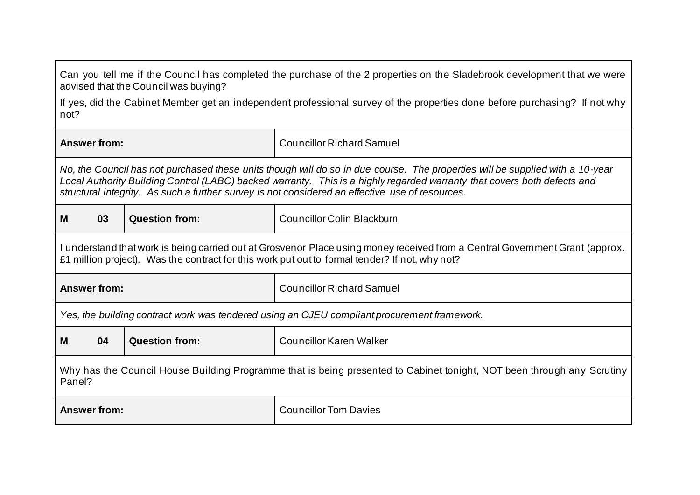| Can you tell me if the Council has completed the purchase of the 2 properties on the Sladebrook development that we were<br>advised that the Council was buying?                                                                                                                                                                                             |                                                                                             |                                                                                                                            |  |
|--------------------------------------------------------------------------------------------------------------------------------------------------------------------------------------------------------------------------------------------------------------------------------------------------------------------------------------------------------------|---------------------------------------------------------------------------------------------|----------------------------------------------------------------------------------------------------------------------------|--|
| not?                                                                                                                                                                                                                                                                                                                                                         |                                                                                             | If yes, did the Cabinet Member get an independent professional survey of the properties done before purchasing? If not why |  |
| <b>Answer from:</b>                                                                                                                                                                                                                                                                                                                                          |                                                                                             | <b>Councillor Richard Samuel</b>                                                                                           |  |
| No, the Council has not purchased these units though will do so in due course. The properties will be supplied with a 10-year<br>Local Authority Building Control (LABC) backed warranty. This is a highly regarded warranty that covers both defects and<br>structural integrity. As such a further survey is not considered an effective use of resources. |                                                                                             |                                                                                                                            |  |
| 03<br>M                                                                                                                                                                                                                                                                                                                                                      | <b>Question from:</b>                                                                       | <b>Councillor Colin Blackburn</b>                                                                                          |  |
| I understand that work is being carried out at Grosvenor Place using money received from a Central Government Grant (approx.<br>£1 million project). Was the contract for this work put out to formal tender? If not, why not?                                                                                                                               |                                                                                             |                                                                                                                            |  |
| <b>Answer from:</b>                                                                                                                                                                                                                                                                                                                                          |                                                                                             | <b>Councillor Richard Samuel</b>                                                                                           |  |
|                                                                                                                                                                                                                                                                                                                                                              | Yes, the building contract work was tendered using an OJEU compliant procurement framework. |                                                                                                                            |  |
| 04<br>м                                                                                                                                                                                                                                                                                                                                                      | <b>Question from:</b><br><b>Councillor Karen Walker</b>                                     |                                                                                                                            |  |
| Why has the Council House Building Programme that is being presented to Cabinet tonight, NOT been through any Scrutiny<br>Panel?                                                                                                                                                                                                                             |                                                                                             |                                                                                                                            |  |
| <b>Answer from:</b>                                                                                                                                                                                                                                                                                                                                          |                                                                                             | <b>Councillor Tom Davies</b>                                                                                               |  |

 $\blacksquare$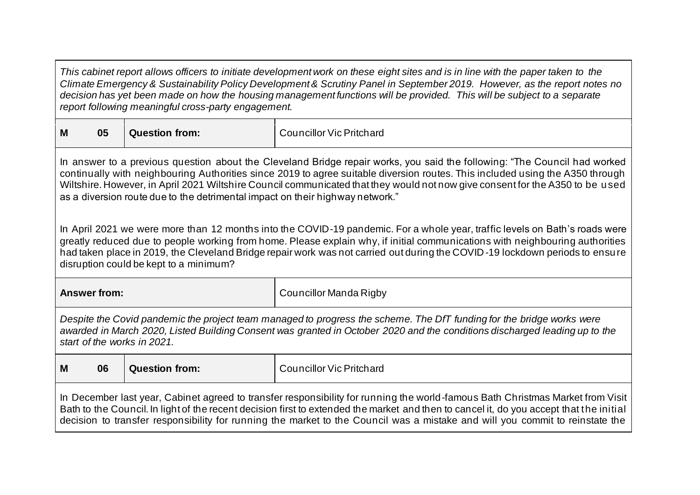*This cabinet report allows officers to initiate development work on these eight sites and is in line with the paper taken to the Climate Emergency & Sustainability Policy Development & Scrutiny Panel in September 2019. However, as the report notes no decision has yet been made on how the housing management functions will be provided. This will be subject to a separate report following meaningful cross-party engagement.*

| M<br>05 |  | Question from: | <br>Councillor Vic Pritchard |
|---------|--|----------------|------------------------------|
|---------|--|----------------|------------------------------|

In answer to a previous question about the Cleveland Bridge repair works, you said the following: "The Council had worked continually with neighbouring Authorities since 2019 to agree suitable diversion routes. This included using the A350 through Wiltshire. However, in April 2021 Wiltshire Council communicated that they would not now give consent for the A350 to be used as a diversion route due to the detrimental impact on their highway network."

In April 2021 we were more than 12 months into the COVID-19 pandemic. For a whole year, traffic levels on Bath's roads were greatly reduced due to people working from home. Please explain why, if initial communications with neighbouring authorities had taken place in 2019, the Cleveland Bridge repair work was not carried out during the COVID-19 lockdown periods to ensure disruption could be kept to a minimum?

**Answer from:** Councillor Manda Rigby *Despite the Covid pandemic the project team managed to progress the scheme. The DfT funding for the bridge works were* 

*awarded in March 2020, Listed Building Consent was granted in October 2020 and the conditions discharged leading up to the start of the works in 2021.* 

|                                                                                                                                | M | 06 | <b>Question from:</b> | Councillor Vic Pritchard |
|--------------------------------------------------------------------------------------------------------------------------------|---|----|-----------------------|--------------------------|
| In December last vear. Cabinet agreed to transfer responsibility for running the world-famous Bath Christmas Market from Visit |   |    |                       |                          |

In December last year, Cabinet agreed to transfer responsibility for running the world-famous Bath Christmas Market from Visit Bath to the Council. In light of the recent decision first to extended the market and then to cancel it, do you accept that the initial decision to transfer responsibility for running the market to the Council was a mistake and will you commit to reinstate the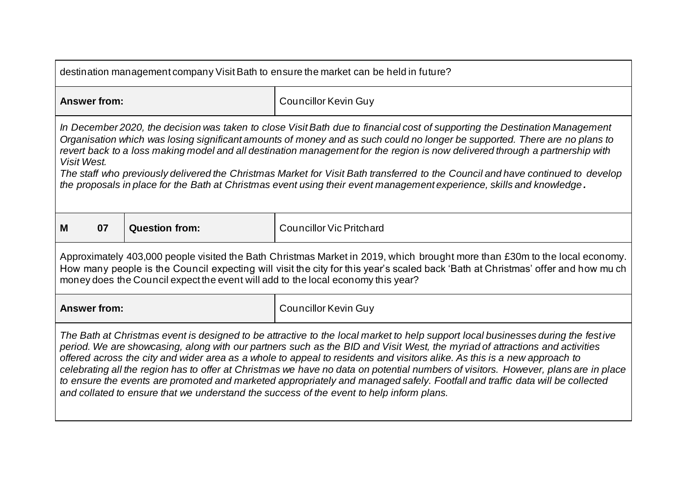| destination management company Visit Bath to ensure the market can be held in future?                                                                                                                                                                                                                                                                                                                                                                                                                                                                                                                                                                                                                                                                          |                       |                                 |
|----------------------------------------------------------------------------------------------------------------------------------------------------------------------------------------------------------------------------------------------------------------------------------------------------------------------------------------------------------------------------------------------------------------------------------------------------------------------------------------------------------------------------------------------------------------------------------------------------------------------------------------------------------------------------------------------------------------------------------------------------------------|-----------------------|---------------------------------|
| <b>Answer from:</b>                                                                                                                                                                                                                                                                                                                                                                                                                                                                                                                                                                                                                                                                                                                                            |                       | <b>Councillor Kevin Guy</b>     |
| In December 2020, the decision was taken to close Visit Bath due to financial cost of supporting the Destination Management<br>Organisation which was losing significant amounts of money and as such could no longer be supported. There are no plans to<br>revert back to a loss making model and all destination management for the region is now delivered through a partnership with<br>Visit West.<br>The staff who previously delivered the Christmas Market for Visit Bath transferred to the Council and have continued to develop<br>the proposals in place for the Bath at Christmas event using their event management experience, skills and knowledge.                                                                                           |                       |                                 |
| 07<br>M                                                                                                                                                                                                                                                                                                                                                                                                                                                                                                                                                                                                                                                                                                                                                        | <b>Question from:</b> | <b>Councillor Vic Pritchard</b> |
| Approximately 403,000 people visited the Bath Christmas Market in 2019, which brought more than £30m to the local economy.<br>How many people is the Council expecting will visit the city for this year's scaled back 'Bath at Christmas' offer and how mu ch<br>money does the Council expect the event will add to the local economy this year?                                                                                                                                                                                                                                                                                                                                                                                                             |                       |                                 |
| <b>Answer from:</b>                                                                                                                                                                                                                                                                                                                                                                                                                                                                                                                                                                                                                                                                                                                                            |                       | <b>Councillor Kevin Guy</b>     |
| The Bath at Christmas event is designed to be attractive to the local market to help support local businesses during the festive<br>period. We are showcasing, along with our partners such as the BID and Visit West, the myriad of attractions and activities<br>offered across the city and wider area as a whole to appeal to residents and visitors alike. As this is a new approach to<br>celebrating all the region has to offer at Christmas we have no data on potential numbers of visitors. However, plans are in place<br>to ensure the events are promoted and marketed appropriately and managed safely. Footfall and traffic data will be collected<br>and collated to ensure that we understand the success of the event to help inform plans. |                       |                                 |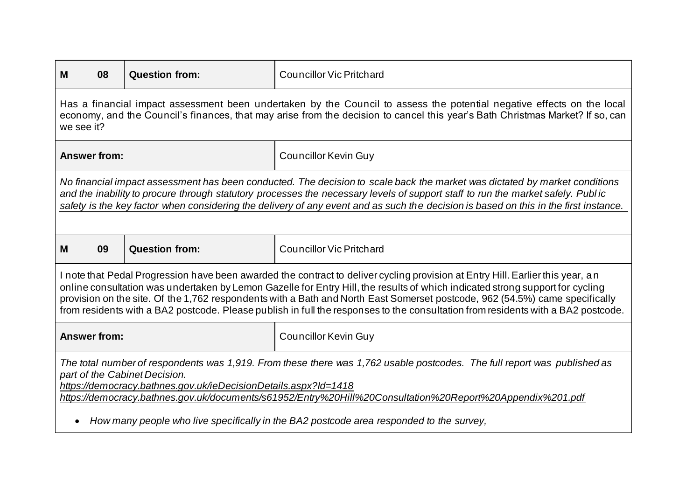| M<br>08                                                                                                                                                                                                                                                                                                                                                                                                                                                                                                                            | <b>Question from:</b> | <b>Councillor Vic Pritchard</b> |
|------------------------------------------------------------------------------------------------------------------------------------------------------------------------------------------------------------------------------------------------------------------------------------------------------------------------------------------------------------------------------------------------------------------------------------------------------------------------------------------------------------------------------------|-----------------------|---------------------------------|
| Has a financial impact assessment been undertaken by the Council to assess the potential negative effects on the local<br>economy, and the Council's finances, that may arise from the decision to cancel this year's Bath Christmas Market? If so, can<br>we see it?                                                                                                                                                                                                                                                              |                       |                                 |
| <b>Answer from:</b>                                                                                                                                                                                                                                                                                                                                                                                                                                                                                                                |                       | <b>Councillor Kevin Guy</b>     |
| No financial impact assessment has been conducted. The decision to scale back the market was dictated by market conditions<br>and the inability to procure through statutory processes the necessary levels of support staff to run the market safely. Public<br>safety is the key factor when considering the delivery of any event and as such the decision is based on this in the first instance.                                                                                                                              |                       |                                 |
| 09<br>M                                                                                                                                                                                                                                                                                                                                                                                                                                                                                                                            | <b>Question from:</b> | <b>Councillor Vic Pritchard</b> |
| I note that Pedal Progression have been awarded the contract to deliver cycling provision at Entry Hill. Earlier this year, an<br>online consultation was undertaken by Lemon Gazelle for Entry Hill, the results of which indicated strong support for cycling<br>provision on the site. Of the 1,762 respondents with a Bath and North East Somerset postcode, 962 (54.5%) came specifically<br>from residents with a BA2 postcode. Please publish in full the responses to the consultation from residents with a BA2 postcode. |                       |                                 |
| <b>Answer from:</b>                                                                                                                                                                                                                                                                                                                                                                                                                                                                                                                |                       | <b>Councillor Kevin Guy</b>     |
| The total number of respondents was 1,919. From these there was 1,762 usable postcodes. The full report was published as<br>part of the Cabinet Decision.<br>https://democracy.bathnes.gov.uk/ieDecisionDetails.aspx?ld=1418<br>https://democracy.bathnes.gov.uk/documents/s61952/Entry%20Hill%20Consultation%20Report%20Appendix%201.pdf<br>How many people who live specifically in the BA2 postcode area responded to the survey,                                                                                               |                       |                                 |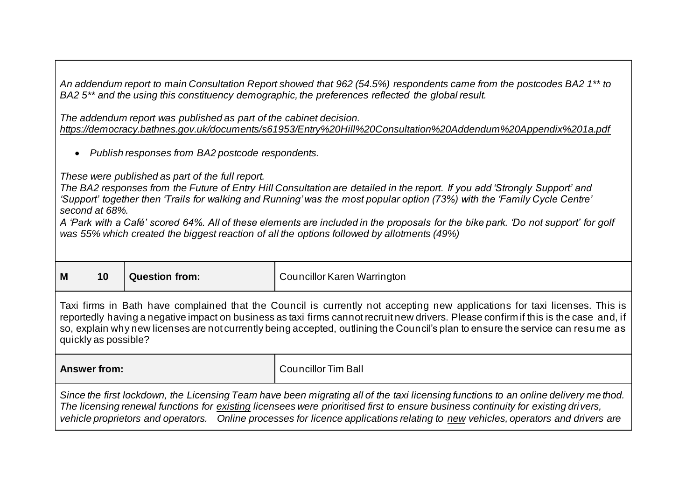*An addendum report to main Consultation Report showed that 962 (54.5%) respondents came from the postcodes BA2 1\*\* to BA2 5\*\* and the using this constituency demographic, the preferences reflected the global result.*

*The addendum report was published as part of the cabinet decision. <https://democracy.bathnes.gov.uk/documents/s61953/Entry%20Hill%20Consultation%20Addendum%20Appendix%201a.pdf>*

• *Publish responses from BA2 postcode respondents.* 

*These were published as part of the full report.*

*The BA2 responses from the Future of Entry Hill Consultation are detailed in the report. If you add 'Strongly Support' and 'Support' together then 'Trails for walking and Running' was the most popular option (73%) with the 'Family Cycle Centre' second at 68%.*

*A 'Park with a Café' scored 64%. All of these elements are included in the proposals for the bike park. 'Do not support' for golf was 55% which created the biggest reaction of all the options followed by allotments (49%)*

| M<br>10<br><b>Question from:</b> | Councillor Karen Warrington |
|----------------------------------|-----------------------------|
|----------------------------------|-----------------------------|

Taxi firms in Bath have complained that the Council is currently not accepting new applications for taxi licenses. This is reportedly having a negative impact on business as taxi firms cannot recruit new drivers. Please confirm if this is the case and, if so, explain why new licenses are not currently being accepted, outlining the Council's plan to ensure the service can resume as quickly as possible?

**Answer from:** Councillor Tim Ball

*Since the first lockdown, the Licensing Team have been migrating all of the taxi licensing functions to an online delivery me thod. The licensing renewal functions for existing licensees were prioritised first to ensure business continuity for existing drivers, vehicle proprietors and operators. Online processes for licence applications relating to new vehicles, operators and drivers are*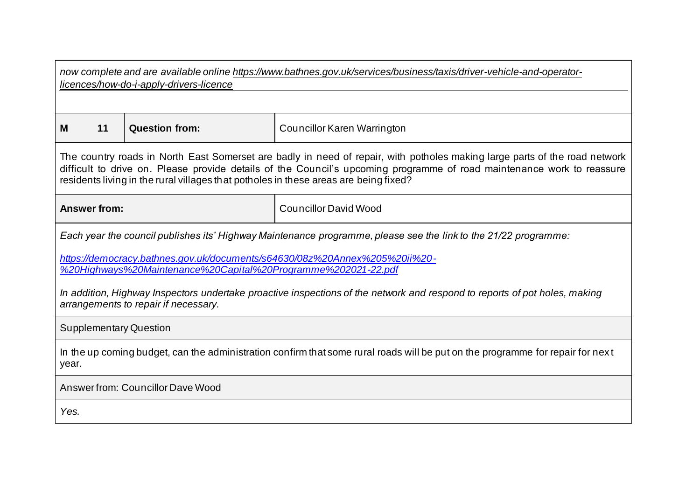| now complete and are available online https://www.bathnes.gov.uk/services/business/taxis/driver-vehicle-and-operator-<br>licences/how-do-i-apply-drivers-licence                                                                                                                                                                             |                     |                       |                                                                                                                 |
|----------------------------------------------------------------------------------------------------------------------------------------------------------------------------------------------------------------------------------------------------------------------------------------------------------------------------------------------|---------------------|-----------------------|-----------------------------------------------------------------------------------------------------------------|
|                                                                                                                                                                                                                                                                                                                                              |                     |                       |                                                                                                                 |
| M                                                                                                                                                                                                                                                                                                                                            | 11                  | <b>Question from:</b> | <b>Councillor Karen Warrington</b>                                                                              |
| The country roads in North East Somerset are badly in need of repair, with potholes making large parts of the road network<br>difficult to drive on. Please provide details of the Council's upcoming programme of road maintenance work to reassure<br>residents living in the rural villages that potholes in these areas are being fixed? |                     |                       |                                                                                                                 |
|                                                                                                                                                                                                                                                                                                                                              | <b>Answer from:</b> |                       | <b>Councillor David Wood</b>                                                                                    |
|                                                                                                                                                                                                                                                                                                                                              |                     |                       | Each year the council publishes its' Highway Maintenance programme, please see the link to the 21/22 programme: |
| https://democracy.bathnes.gov.uk/documents/s64630/08z%20Annex%205%20ii%20-<br>%20Highways%20Maintenance%20Capital%20Programme%202021-22.pdf                                                                                                                                                                                                  |                     |                       |                                                                                                                 |
| In addition, Highway Inspectors undertake proactive inspections of the network and respond to reports of pot holes, making<br>arrangements to repair if necessary.                                                                                                                                                                           |                     |                       |                                                                                                                 |
| <b>Supplementary Question</b>                                                                                                                                                                                                                                                                                                                |                     |                       |                                                                                                                 |
| In the up coming budget, can the administration confirm that some rural roads will be put on the programme for repair for next<br>year.                                                                                                                                                                                                      |                     |                       |                                                                                                                 |
| Answer from: Councillor Dave Wood                                                                                                                                                                                                                                                                                                            |                     |                       |                                                                                                                 |
| Yes.                                                                                                                                                                                                                                                                                                                                         |                     |                       |                                                                                                                 |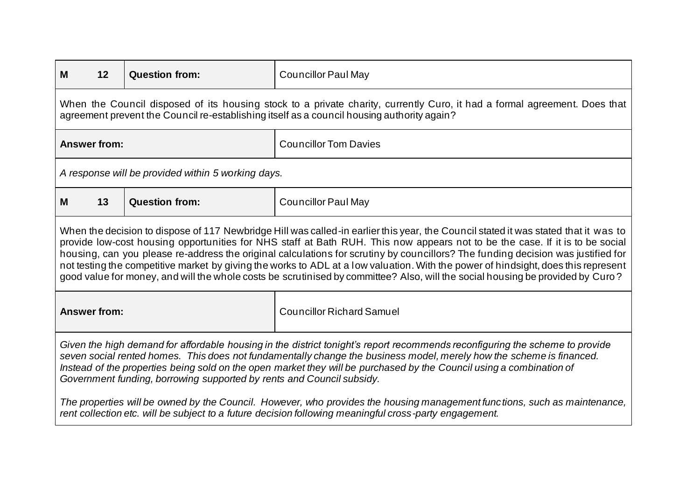| 12<br>M                                                                                                                                                                                                                                                                                                                                                                                                                                                                                                                                                                                                                                                                         | <b>Question from:</b>                              | <b>Councillor Paul May</b>       |
|---------------------------------------------------------------------------------------------------------------------------------------------------------------------------------------------------------------------------------------------------------------------------------------------------------------------------------------------------------------------------------------------------------------------------------------------------------------------------------------------------------------------------------------------------------------------------------------------------------------------------------------------------------------------------------|----------------------------------------------------|----------------------------------|
| When the Council disposed of its housing stock to a private charity, currently Curo, it had a formal agreement. Does that<br>agreement prevent the Council re-establishing itself as a council housing authority again?                                                                                                                                                                                                                                                                                                                                                                                                                                                         |                                                    |                                  |
| <b>Answer from:</b>                                                                                                                                                                                                                                                                                                                                                                                                                                                                                                                                                                                                                                                             |                                                    | <b>Councillor Tom Davies</b>     |
|                                                                                                                                                                                                                                                                                                                                                                                                                                                                                                                                                                                                                                                                                 | A response will be provided within 5 working days. |                                  |
| 13<br>м                                                                                                                                                                                                                                                                                                                                                                                                                                                                                                                                                                                                                                                                         | <b>Question from:</b>                              | <b>Councillor Paul May</b>       |
| When the decision to dispose of 117 Newbridge Hill was called-in earlier this year, the Council stated it was stated that it was to<br>provide low-cost housing opportunities for NHS staff at Bath RUH. This now appears not to be the case. If it is to be social<br>housing, can you please re-address the original calculations for scrutiny by councillors? The funding decision was justified for<br>not testing the competitive market by giving the works to ADL at a low valuation. With the power of hindsight, does this represent<br>good value for money, and will the whole costs be scrutinised by committee? Also, will the social housing be provided by Curo? |                                                    |                                  |
| <b>Answer from:</b>                                                                                                                                                                                                                                                                                                                                                                                                                                                                                                                                                                                                                                                             |                                                    | <b>Councillor Richard Samuel</b> |
| Given the high demand for affordable housing in the district tonight's report recommends reconfiguring the scheme to provide<br>seven social rented homes. This does not fundamentally change the business model, merely how the scheme is financed.<br>Instead of the properties being sold on the open market they will be purchased by the Council using a combination of<br>Government funding, borrowing supported by rents and Council subsidy.                                                                                                                                                                                                                           |                                                    |                                  |
| The properties will be owned by the Council. However, who provides the housing management functions, such as maintenance,<br>rent collection etc. will be subject to a future decision following meaningful cross-party engagement.                                                                                                                                                                                                                                                                                                                                                                                                                                             |                                                    |                                  |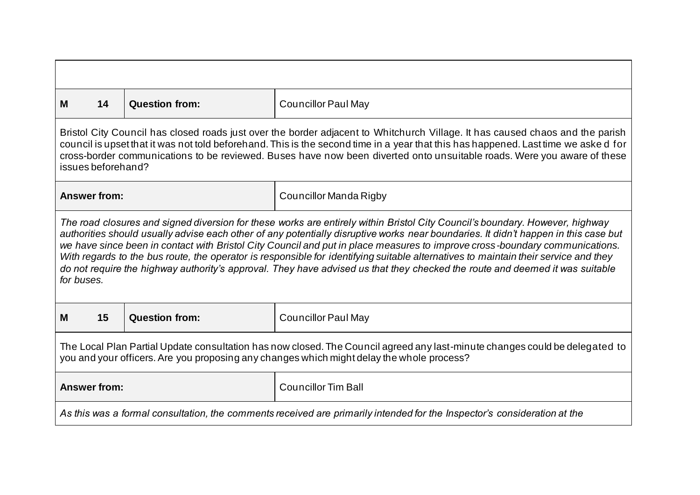| м                                                                                                                                                                                                                        | 14                                                                                                                                                                                                                                                                                                                                                                                                                                                                                                                                                                                                                                                                                      | <b>Question from:</b> | <b>Councillor Paul May</b> |  |
|--------------------------------------------------------------------------------------------------------------------------------------------------------------------------------------------------------------------------|-----------------------------------------------------------------------------------------------------------------------------------------------------------------------------------------------------------------------------------------------------------------------------------------------------------------------------------------------------------------------------------------------------------------------------------------------------------------------------------------------------------------------------------------------------------------------------------------------------------------------------------------------------------------------------------------|-----------------------|----------------------------|--|
|                                                                                                                                                                                                                          | Bristol City Council has closed roads just over the border adjacent to Whitchurch Village. It has caused chaos and the parish<br>council is upset that it was not told beforehand. This is the second time in a year that this has happened. Last time we aske d for<br>cross-border communications to be reviewed. Buses have now been diverted onto unsuitable roads. Were you aware of these<br>issues beforehand?                                                                                                                                                                                                                                                                   |                       |                            |  |
|                                                                                                                                                                                                                          | <b>Answer from:</b>                                                                                                                                                                                                                                                                                                                                                                                                                                                                                                                                                                                                                                                                     |                       | Councillor Manda Rigby     |  |
|                                                                                                                                                                                                                          | The road closures and signed diversion for these works are entirely within Bristol City Council's boundary. However, highway<br>authorities should usually advise each other of any potentially disruptive works near boundaries. It didn't happen in this case but<br>we have since been in contact with Bristol City Council and put in place measures to improve cross-boundary communications.<br>With regards to the bus route, the operator is responsible for identifying suitable alternatives to maintain their service and they<br>do not require the highway authority's approval. They have advised us that they checked the route and deemed it was suitable<br>for buses. |                       |                            |  |
| M                                                                                                                                                                                                                        | 15                                                                                                                                                                                                                                                                                                                                                                                                                                                                                                                                                                                                                                                                                      | <b>Question from:</b> | <b>Councillor Paul May</b> |  |
| The Local Plan Partial Update consultation has now closed. The Council agreed any last-minute changes could be delegated to<br>you and your officers. Are you proposing any changes which might delay the whole process? |                                                                                                                                                                                                                                                                                                                                                                                                                                                                                                                                                                                                                                                                                         |                       |                            |  |
| <b>Answer from:</b><br><b>Councillor Tim Ball</b>                                                                                                                                                                        |                                                                                                                                                                                                                                                                                                                                                                                                                                                                                                                                                                                                                                                                                         |                       |                            |  |
| As this was a formal consultation, the comments received are primarily intended for the Inspector's consideration at the                                                                                                 |                                                                                                                                                                                                                                                                                                                                                                                                                                                                                                                                                                                                                                                                                         |                       |                            |  |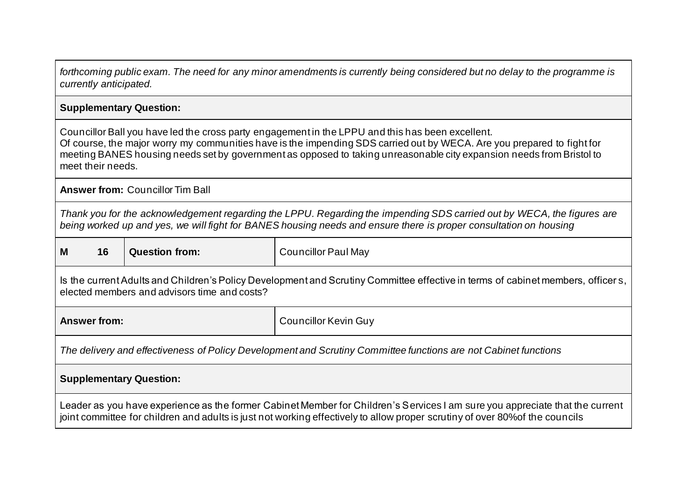| forthcoming public exam. The need for any minor amendments is currently being considered but no delay to the programme is<br>currently anticipated.                                                                                                                                                                                                                     |                                                                                                                                                                                                                                             |                            |  |
|-------------------------------------------------------------------------------------------------------------------------------------------------------------------------------------------------------------------------------------------------------------------------------------------------------------------------------------------------------------------------|---------------------------------------------------------------------------------------------------------------------------------------------------------------------------------------------------------------------------------------------|----------------------------|--|
| <b>Supplementary Question:</b>                                                                                                                                                                                                                                                                                                                                          |                                                                                                                                                                                                                                             |                            |  |
| Councillor Ball you have led the cross party engagement in the LPPU and this has been excellent.<br>Of course, the major worry my communities have is the impending SDS carried out by WECA. Are you prepared to fight for<br>meeting BANES housing needs set by government as opposed to taking unreasonable city expansion needs from Bristol to<br>meet their needs. |                                                                                                                                                                                                                                             |                            |  |
|                                                                                                                                                                                                                                                                                                                                                                         | <b>Answer from: Councillor Tim Ball</b>                                                                                                                                                                                                     |                            |  |
|                                                                                                                                                                                                                                                                                                                                                                         | Thank you for the acknowledgement regarding the LPPU. Regarding the impending SDS carried out by WECA, the figures are<br>being worked up and yes, we will fight for BANES housing needs and ensure there is proper consultation on housing |                            |  |
| 16<br>M                                                                                                                                                                                                                                                                                                                                                                 | <b>Question from:</b>                                                                                                                                                                                                                       | <b>Councillor Paul May</b> |  |
| Is the current Adults and Children's Policy Development and Scrutiny Committee effective in terms of cabinet members, officers,<br>elected members and advisors time and costs?                                                                                                                                                                                         |                                                                                                                                                                                                                                             |                            |  |
| <b>Answer from:</b>                                                                                                                                                                                                                                                                                                                                                     | <b>Councillor Kevin Guy</b>                                                                                                                                                                                                                 |                            |  |
| The delivery and effectiveness of Policy Development and Scrutiny Committee functions are not Cabinet functions                                                                                                                                                                                                                                                         |                                                                                                                                                                                                                                             |                            |  |
| <b>Supplementary Question:</b>                                                                                                                                                                                                                                                                                                                                          |                                                                                                                                                                                                                                             |                            |  |
| Leader as you have experience as the former Cabinet Member for Children's Services I am sure you appreciate that the current<br>joint committee for children and adults is just not working effectively to allow proper scrutiny of over 80% of the councils                                                                                                            |                                                                                                                                                                                                                                             |                            |  |

 $\Gamma$ 

┑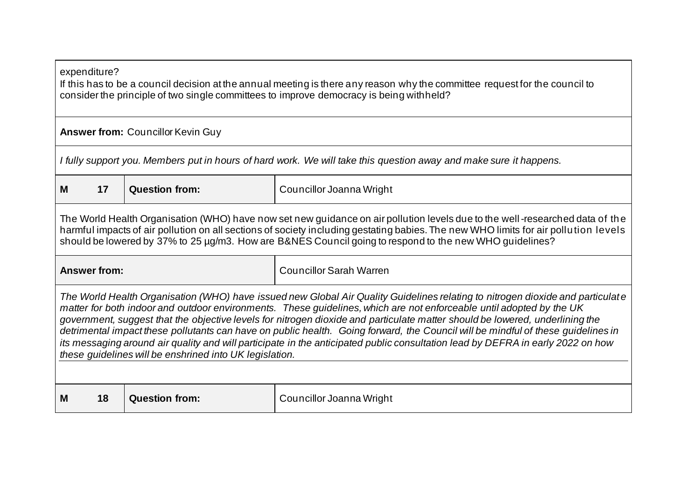| expenditure?<br>If this has to be a council decision at the annual meeting is there any reason why the committee request for the council to<br>consider the principle of two single committees to improve democracy is being withheld?                                                                                                                                                                                                                                                                                                                                                                                                                                                                                   |                                                                                                                                                                                                                                                                                                                                                                                |                                                                                                                   |  |
|--------------------------------------------------------------------------------------------------------------------------------------------------------------------------------------------------------------------------------------------------------------------------------------------------------------------------------------------------------------------------------------------------------------------------------------------------------------------------------------------------------------------------------------------------------------------------------------------------------------------------------------------------------------------------------------------------------------------------|--------------------------------------------------------------------------------------------------------------------------------------------------------------------------------------------------------------------------------------------------------------------------------------------------------------------------------------------------------------------------------|-------------------------------------------------------------------------------------------------------------------|--|
|                                                                                                                                                                                                                                                                                                                                                                                                                                                                                                                                                                                                                                                                                                                          | <b>Answer from: Councillor Kevin Guy</b>                                                                                                                                                                                                                                                                                                                                       |                                                                                                                   |  |
|                                                                                                                                                                                                                                                                                                                                                                                                                                                                                                                                                                                                                                                                                                                          |                                                                                                                                                                                                                                                                                                                                                                                | I fully support you. Members put in hours of hard work. We will take this question away and make sure it happens. |  |
| 17<br>M                                                                                                                                                                                                                                                                                                                                                                                                                                                                                                                                                                                                                                                                                                                  | <b>Question from:</b>                                                                                                                                                                                                                                                                                                                                                          | Councillor Joanna Wright                                                                                          |  |
|                                                                                                                                                                                                                                                                                                                                                                                                                                                                                                                                                                                                                                                                                                                          | The World Health Organisation (WHO) have now set new guidance on air pollution levels due to the well-researched data of the<br>harmful impacts of air pollution on all sections of society including gestating babies. The new WHO limits for air pollution levels<br>should be lowered by 37% to 25 µg/m3. How are B&NES Council going to respond to the new WHO guidelines? |                                                                                                                   |  |
|                                                                                                                                                                                                                                                                                                                                                                                                                                                                                                                                                                                                                                                                                                                          | <b>Councillor Sarah Warren</b><br><b>Answer from:</b>                                                                                                                                                                                                                                                                                                                          |                                                                                                                   |  |
| The World Health Organisation (WHO) have issued new Global Air Quality Guidelines relating to nitrogen dioxide and particulate<br>matter for both indoor and outdoor environments. These guidelines, which are not enforceable until adopted by the UK<br>government, suggest that the objective levels for nitrogen dioxide and particulate matter should be lowered, underlining the<br>detrimental impact these pollutants can have on public health. Going forward, the Council will be mindful of these guidelines in<br>its messaging around air quality and will participate in the anticipated public consultation lead by DEFRA in early 2022 on how<br>these guidelines will be enshrined into UK legislation. |                                                                                                                                                                                                                                                                                                                                                                                |                                                                                                                   |  |
| <b>Question from:</b><br>18<br>Councillor Joanna Wright<br>M                                                                                                                                                                                                                                                                                                                                                                                                                                                                                                                                                                                                                                                             |                                                                                                                                                                                                                                                                                                                                                                                |                                                                                                                   |  |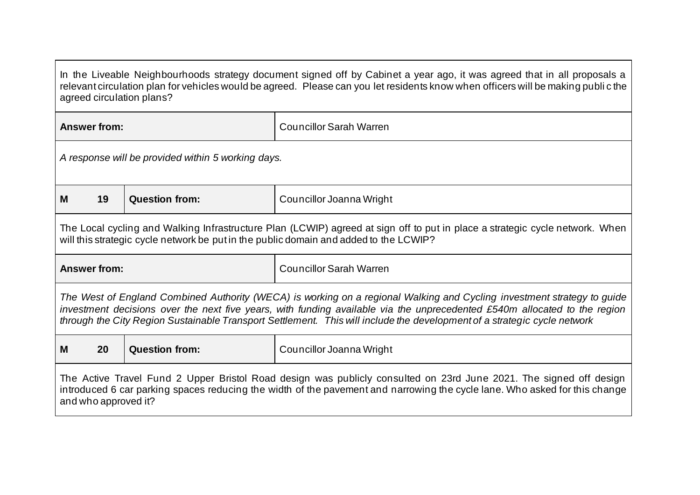| In the Liveable Neighbourhoods strategy document signed off by Cabinet a year ago, it was agreed that in all proposals a<br>relevant circulation plan for vehicles would be agreed. Please can you let residents know when officers will be making public the<br>agreed circulation plans?                                                                                       |                                                    |                       |                                                                                                                                                                                                                       |
|----------------------------------------------------------------------------------------------------------------------------------------------------------------------------------------------------------------------------------------------------------------------------------------------------------------------------------------------------------------------------------|----------------------------------------------------|-----------------------|-----------------------------------------------------------------------------------------------------------------------------------------------------------------------------------------------------------------------|
|                                                                                                                                                                                                                                                                                                                                                                                  | <b>Answer from:</b>                                |                       | <b>Councillor Sarah Warren</b>                                                                                                                                                                                        |
|                                                                                                                                                                                                                                                                                                                                                                                  | A response will be provided within 5 working days. |                       |                                                                                                                                                                                                                       |
| M                                                                                                                                                                                                                                                                                                                                                                                | 19                                                 | <b>Question from:</b> | Councillor Joanna Wright                                                                                                                                                                                              |
|                                                                                                                                                                                                                                                                                                                                                                                  |                                                    |                       | The Local cycling and Walking Infrastructure Plan (LCWIP) agreed at sign off to put in place a strategic cycle network. When<br>will this strategic cycle network be put in the public domain and added to the LCWIP? |
| <b>Answer from:</b>                                                                                                                                                                                                                                                                                                                                                              |                                                    |                       | <b>Councillor Sarah Warren</b>                                                                                                                                                                                        |
| The West of England Combined Authority (WECA) is working on a regional Walking and Cycling investment strategy to guide<br>investment decisions over the next five years, with funding available via the unprecedented £540m allocated to the region<br>through the City Region Sustainable Transport Settlement. This will include the development of a strategic cycle network |                                                    |                       |                                                                                                                                                                                                                       |
| M                                                                                                                                                                                                                                                                                                                                                                                | 20                                                 | <b>Question from:</b> | Councillor Joanna Wright                                                                                                                                                                                              |
| The Active Travel Fund 2 Upper Bristol Road design was publicly consulted on 23rd June 2021. The signed off design<br>introduced 6 car parking spaces reducing the width of the pavement and narrowing the cycle lane. Who asked for this change<br>and who approved it?                                                                                                         |                                                    |                       |                                                                                                                                                                                                                       |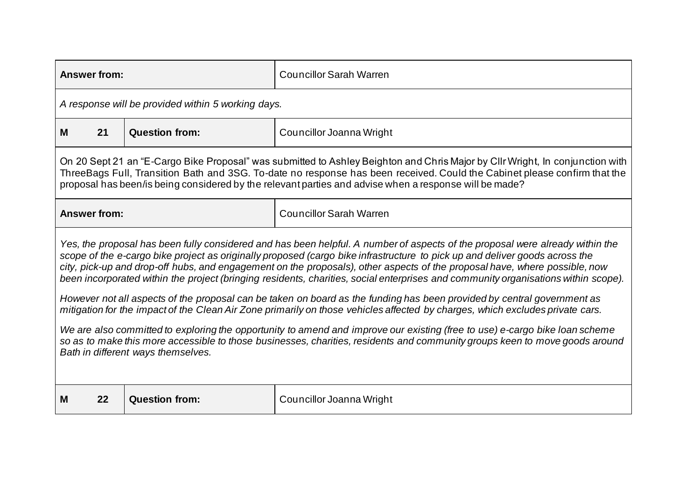| <b>Answer from:</b>                                                                                                                                                                                                                                                                                                                                                                                                                                                                                                              |                                                                                                                                                                                                                                                                                                                                                                      | <b>Councillor Sarah Warren</b> |  |  |
|----------------------------------------------------------------------------------------------------------------------------------------------------------------------------------------------------------------------------------------------------------------------------------------------------------------------------------------------------------------------------------------------------------------------------------------------------------------------------------------------------------------------------------|----------------------------------------------------------------------------------------------------------------------------------------------------------------------------------------------------------------------------------------------------------------------------------------------------------------------------------------------------------------------|--------------------------------|--|--|
|                                                                                                                                                                                                                                                                                                                                                                                                                                                                                                                                  | A response will be provided within 5 working days.                                                                                                                                                                                                                                                                                                                   |                                |  |  |
| 21<br>M                                                                                                                                                                                                                                                                                                                                                                                                                                                                                                                          | <b>Question from:</b>                                                                                                                                                                                                                                                                                                                                                | Councillor Joanna Wright       |  |  |
|                                                                                                                                                                                                                                                                                                                                                                                                                                                                                                                                  | On 20 Sept 21 an "E-Cargo Bike Proposal" was submitted to Ashley Beighton and Chris Major by Cllr Wright, In conjunction with<br>ThreeBags Full, Transition Bath and 3SG. To-date no response has been received. Could the Cabinet please confirm that the<br>proposal has been/is being considered by the relevant parties and advise when a response will be made? |                                |  |  |
| <b>Answer from:</b>                                                                                                                                                                                                                                                                                                                                                                                                                                                                                                              |                                                                                                                                                                                                                                                                                                                                                                      | <b>Councillor Sarah Warren</b> |  |  |
| Yes, the proposal has been fully considered and has been helpful. A number of aspects of the proposal were already within the<br>scope of the e-cargo bike project as originally proposed (cargo bike infrastructure to pick up and deliver goods across the<br>city, pick-up and drop-off hubs, and engagement on the proposals), other aspects of the proposal have, where possible, now<br>been incorporated within the project (bringing residents, charities, social enterprises and community organisations within scope). |                                                                                                                                                                                                                                                                                                                                                                      |                                |  |  |
| However not all aspects of the proposal can be taken on board as the funding has been provided by central government as<br>mitigation for the impact of the Clean Air Zone primarily on those vehicles affected by charges, which excludes private cars.                                                                                                                                                                                                                                                                         |                                                                                                                                                                                                                                                                                                                                                                      |                                |  |  |
| We are also committed to exploring the opportunity to amend and improve our existing (free to use) e-cargo bike loan scheme<br>so as to make this more accessible to those businesses, charities, residents and community groups keen to move goods around<br>Bath in different ways themselves.                                                                                                                                                                                                                                 |                                                                                                                                                                                                                                                                                                                                                                      |                                |  |  |
| 22<br>M                                                                                                                                                                                                                                                                                                                                                                                                                                                                                                                          | <b>Question from:</b>                                                                                                                                                                                                                                                                                                                                                | Councillor Joanna Wright       |  |  |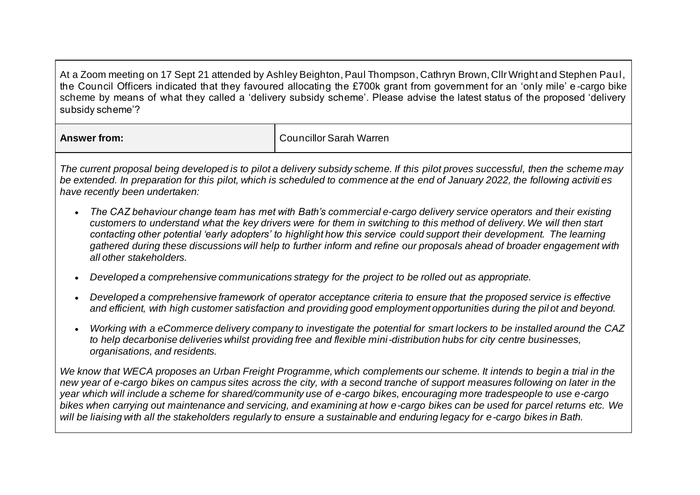At a Zoom meeting on 17 Sept 21 attended by Ashley Beighton, Paul Thompson, Cathryn Brown, Cllr Wright and Stephen Paul, the Council Officers indicated that they favoured allocating the £700k grant from government for an 'only mile' e -cargo bike scheme by means of what they called a 'delivery subsidy scheme'. Please advise the latest status of the proposed 'delivery subsidy scheme'?

| swer from:<br><b>AII</b> | <br>'Sarah<br>Warren<br>:ouncillor |
|--------------------------|------------------------------------|
|                          |                                    |

*The current proposal being developed is to pilot a delivery subsidy scheme. If this pilot proves successful, then the scheme may*  be extended. In preparation for this pilot, which is scheduled to commence at the end of January 2022, the following activities *have recently been undertaken:*

- *The CAZ behaviour change team has met with Bath's commercial e-cargo delivery service operators and their existing customers to understand what the key drivers were for them in switching to this method of delivery. We will then start contacting other potential 'early adopters' to highlight how this service could support their development. The learning gathered during these discussions will help to further inform and refine our proposals ahead of broader engagement with all other stakeholders.*
- *Developed a comprehensive communications strategy for the project to be rolled out as appropriate.*
- *Developed a comprehensive framework of operator acceptance criteria to ensure that the proposed service is effective and efficient, with high customer satisfaction and providing good employment opportunities during the pil ot and beyond.*
- *Working with a eCommerce delivery company to investigate the potential for smart lockers to be installed around the CAZ to help decarbonise deliveries whilst providing free and flexible mini-distribution hubs for city centre businesses, organisations, and residents.*

*We know that WECA proposes an Urban Freight Programme, which complements our scheme. It intends to begin a trial in the new year of e-cargo bikes on campus sites across the city, with a second tranche of support measures following on later in the year which will include a scheme for shared/community use of e-cargo bikes, encouraging more tradespeople to use e-cargo bikes when carrying out maintenance and servicing, and examining at how e-cargo bikes can be used for parcel returns etc. We will be liaising with all the stakeholders regularly to ensure a sustainable and enduring legacy for e-cargo bikes in Bath.*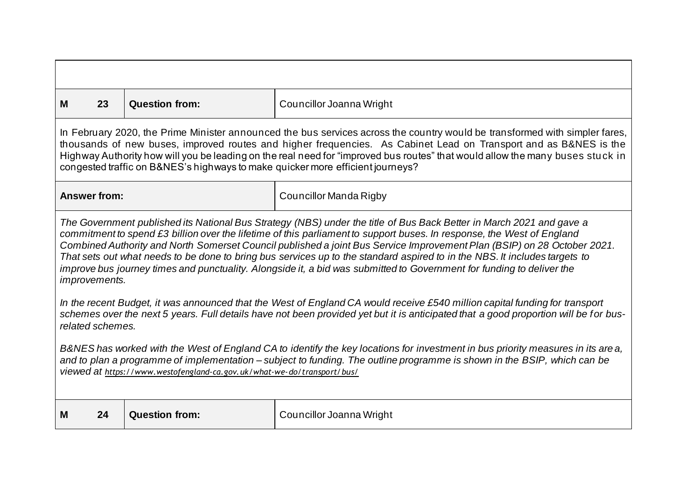| M                                                                                                                                                                                                                                                                                                                                       | 23                                                                                                                                                                                                                                                                                                                                                                                                                                                                                                                                                                                                                                                       | <b>Question from:</b> | Councillor Joanna Wright |  |  |
|-----------------------------------------------------------------------------------------------------------------------------------------------------------------------------------------------------------------------------------------------------------------------------------------------------------------------------------------|----------------------------------------------------------------------------------------------------------------------------------------------------------------------------------------------------------------------------------------------------------------------------------------------------------------------------------------------------------------------------------------------------------------------------------------------------------------------------------------------------------------------------------------------------------------------------------------------------------------------------------------------------------|-----------------------|--------------------------|--|--|
|                                                                                                                                                                                                                                                                                                                                         | In February 2020, the Prime Minister announced the bus services across the country would be transformed with simpler fares,<br>thousands of new buses, improved routes and higher frequencies. As Cabinet Lead on Transport and as B&NES is the<br>Highway Authority how will you be leading on the real need for "improved bus routes" that would allow the many buses stuck in<br>congested traffic on B&NES's highways to make quicker more efficient journeys?                                                                                                                                                                                       |                       |                          |  |  |
|                                                                                                                                                                                                                                                                                                                                         | <b>Answer from:</b>                                                                                                                                                                                                                                                                                                                                                                                                                                                                                                                                                                                                                                      |                       | Councillor Manda Rigby   |  |  |
|                                                                                                                                                                                                                                                                                                                                         | The Government published its National Bus Strategy (NBS) under the title of Bus Back Better in March 2021 and gave a<br>commitment to spend £3 billion over the lifetime of this parliament to support buses. In response, the West of England<br>Combined Authority and North Somerset Council published a joint Bus Service Improvement Plan (BSIP) on 28 October 2021.<br>That sets out what needs to be done to bring bus services up to the standard aspired to in the NBS. It includes targets to<br>improve bus journey times and punctuality. Alongside it, a bid was submitted to Government for funding to deliver the<br><i>improvements.</i> |                       |                          |  |  |
|                                                                                                                                                                                                                                                                                                                                         | In the recent Budget, it was announced that the West of England CA would receive £540 million capital funding for transport<br>schemes over the next 5 years. Full details have not been provided yet but it is anticipated that a good proportion will be for bus-<br>related schemes.                                                                                                                                                                                                                                                                                                                                                                  |                       |                          |  |  |
| B&NES has worked with the West of England CA to identify the key locations for investment in bus priority measures in its are a,<br>and to plan a programme of implementation – subject to funding. The outline programme is shown in the BSIP, which can be<br>viewed at https://www.westofengland-ca.gov.uk/what-we-do/transport/bus/ |                                                                                                                                                                                                                                                                                                                                                                                                                                                                                                                                                                                                                                                          |                       |                          |  |  |
| M                                                                                                                                                                                                                                                                                                                                       | 24                                                                                                                                                                                                                                                                                                                                                                                                                                                                                                                                                                                                                                                       | <b>Question from:</b> | Councillor Joanna Wright |  |  |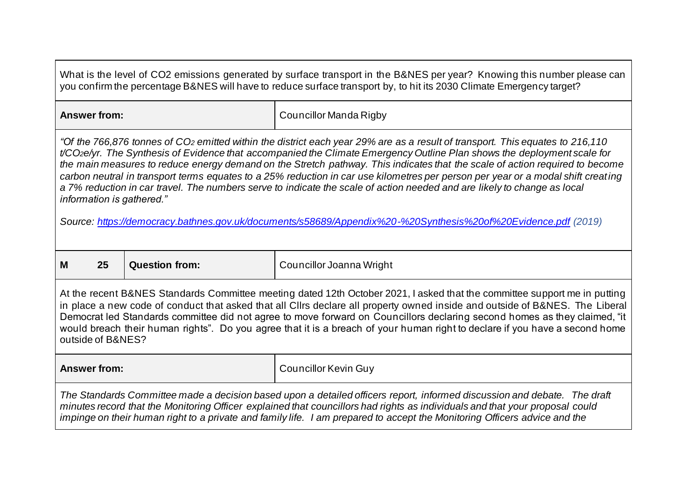| What is the level of CO2 emissions generated by surface transport in the B&NES per year? Knowing this number please can<br>you confirm the percentage B&NES will have to reduce surface transport by, to hit its 2030 Climate Emergency target?                                                                                                                                                                                                                                                                                                                                                                                                                                                                                                                                                                     |                                                   |                             |  |
|---------------------------------------------------------------------------------------------------------------------------------------------------------------------------------------------------------------------------------------------------------------------------------------------------------------------------------------------------------------------------------------------------------------------------------------------------------------------------------------------------------------------------------------------------------------------------------------------------------------------------------------------------------------------------------------------------------------------------------------------------------------------------------------------------------------------|---------------------------------------------------|-----------------------------|--|
| <b>Answer from:</b>                                                                                                                                                                                                                                                                                                                                                                                                                                                                                                                                                                                                                                                                                                                                                                                                 |                                                   | Councillor Manda Rigby      |  |
| "Of the 766,876 tonnes of CO2 emitted within the district each year 29% are as a result of transport. This equates to 216,110<br>t/CO <sub>2</sub> e/yr. The Synthesis of Evidence that accompanied the Climate Emergency Outline Plan shows the deployment scale for<br>the main measures to reduce energy demand on the Stretch pathway. This indicates that the scale of action required to become<br>carbon neutral in transport terms equates to a 25% reduction in car use kilometres per person per year or a modal shift creating<br>a 7% reduction in car travel. The numbers serve to indicate the scale of action needed and are likely to change as local<br>information is gathered."<br>Source: https://democracy.bathnes.gov.uk/documents/s58689/Appendix%20-%20Synthesis%20of%20Evidence.pdf (2019) |                                                   |                             |  |
| 25<br>M                                                                                                                                                                                                                                                                                                                                                                                                                                                                                                                                                                                                                                                                                                                                                                                                             | <b>Question from:</b><br>Councillor Joanna Wright |                             |  |
| At the recent B&NES Standards Committee meeting dated 12th October 2021, I asked that the committee support me in putting<br>in place a new code of conduct that asked that all Cllrs declare all property owned inside and outside of B&NES. The Liberal<br>Democrat led Standards committee did not agree to move forward on Councillors declaring second homes as they claimed, "it<br>would breach their human rights". Do you agree that it is a breach of your human right to declare if you have a second home<br>outside of B&NES?                                                                                                                                                                                                                                                                          |                                                   |                             |  |
| <b>Answer from:</b>                                                                                                                                                                                                                                                                                                                                                                                                                                                                                                                                                                                                                                                                                                                                                                                                 |                                                   | <b>Councillor Kevin Guy</b> |  |
| The Standards Committee made a decision based upon a detailed officers report, informed discussion and debate. The draft<br>minutes record that the Monitoring Officer explained that councillors had rights as individuals and that your proposal could<br>impinge on their human right to a private and family life. I am prepared to accept the Monitoring Officers advice and the                                                                                                                                                                                                                                                                                                                                                                                                                               |                                                   |                             |  |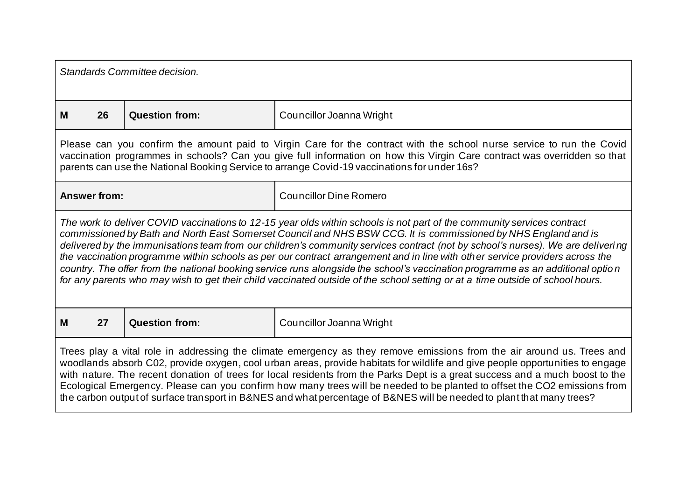| Standards Committee decision.                                                                                                                                                                                                                                                                                                                                                                                                                                                                                                                                                                                                                 |                                                                                                                                                                                                                                                                                                                                                                                                                                                                                                                                                                                                                                                                                                                                                                                   |                       |                               |  |
|-----------------------------------------------------------------------------------------------------------------------------------------------------------------------------------------------------------------------------------------------------------------------------------------------------------------------------------------------------------------------------------------------------------------------------------------------------------------------------------------------------------------------------------------------------------------------------------------------------------------------------------------------|-----------------------------------------------------------------------------------------------------------------------------------------------------------------------------------------------------------------------------------------------------------------------------------------------------------------------------------------------------------------------------------------------------------------------------------------------------------------------------------------------------------------------------------------------------------------------------------------------------------------------------------------------------------------------------------------------------------------------------------------------------------------------------------|-----------------------|-------------------------------|--|
| м                                                                                                                                                                                                                                                                                                                                                                                                                                                                                                                                                                                                                                             | 26                                                                                                                                                                                                                                                                                                                                                                                                                                                                                                                                                                                                                                                                                                                                                                                | <b>Question from:</b> | Councillor Joanna Wright      |  |
| Please can you confirm the amount paid to Virgin Care for the contract with the school nurse service to run the Covid<br>vaccination programmes in schools? Can you give full information on how this Virgin Care contract was overridden so that<br>parents can use the National Booking Service to arrange Covid-19 vaccinations for under 16s?                                                                                                                                                                                                                                                                                             |                                                                                                                                                                                                                                                                                                                                                                                                                                                                                                                                                                                                                                                                                                                                                                                   |                       |                               |  |
|                                                                                                                                                                                                                                                                                                                                                                                                                                                                                                                                                                                                                                               | <b>Answer from:</b>                                                                                                                                                                                                                                                                                                                                                                                                                                                                                                                                                                                                                                                                                                                                                               |                       | <b>Councillor Dine Romero</b> |  |
|                                                                                                                                                                                                                                                                                                                                                                                                                                                                                                                                                                                                                                               | The work to deliver COVID vaccinations to 12-15 year olds within schools is not part of the community services contract<br>commissioned by Bath and North East Somerset Council and NHS BSW CCG. It is commissioned by NHS England and is<br>delivered by the immunisations team from our children's community services contract (not by school's nurses). We are delivering<br>the vaccination programme within schools as per our contract arrangement and in line with other service providers across the<br>country. The offer from the national booking service runs alongside the school's vaccination programme as an additional optio n<br>for any parents who may wish to get their child vaccinated outside of the school setting or at a time outside of school hours. |                       |                               |  |
| M                                                                                                                                                                                                                                                                                                                                                                                                                                                                                                                                                                                                                                             | 27                                                                                                                                                                                                                                                                                                                                                                                                                                                                                                                                                                                                                                                                                                                                                                                | <b>Question from:</b> | Councillor Joanna Wright      |  |
| Trees play a vital role in addressing the climate emergency as they remove emissions from the air around us. Trees and<br>woodlands absorb C02, provide oxygen, cool urban areas, provide habitats for wildlife and give people opportunities to engage<br>with nature. The recent donation of trees for local residents from the Parks Dept is a great success and a much boost to the<br>Ecological Emergency. Please can you confirm how many trees will be needed to be planted to offset the CO2 emissions from<br>the carbon output of surface transport in B&NES and what percentage of B&NES will be needed to plant that many trees? |                                                                                                                                                                                                                                                                                                                                                                                                                                                                                                                                                                                                                                                                                                                                                                                   |                       |                               |  |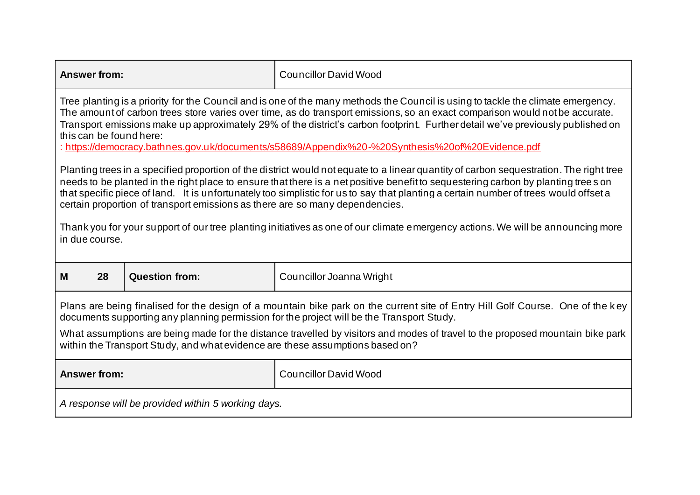| <b>Answer from:</b>                                                                                                                                                                                                                                                                                                                                                                                                                                                                                                              |                                                                                                                                                                                                                                                                                                                                                                                                                                                                                                     | <b>Councillor David Wood</b> |  |  |  |
|----------------------------------------------------------------------------------------------------------------------------------------------------------------------------------------------------------------------------------------------------------------------------------------------------------------------------------------------------------------------------------------------------------------------------------------------------------------------------------------------------------------------------------|-----------------------------------------------------------------------------------------------------------------------------------------------------------------------------------------------------------------------------------------------------------------------------------------------------------------------------------------------------------------------------------------------------------------------------------------------------------------------------------------------------|------------------------------|--|--|--|
| Tree planting is a priority for the Council and is one of the many methods the Council is using to tackle the climate emergency.<br>The amount of carbon trees store varies over time, as do transport emissions, so an exact comparison would not be accurate.<br>Transport emissions make up approximately 29% of the district's carbon footprint. Further detail we've previously published on<br>this can be found here:<br>: https://democracy.bathnes.gov.uk/documents/s58689/Appendix%20-%20Synthesis%20of%20Evidence.pdf |                                                                                                                                                                                                                                                                                                                                                                                                                                                                                                     |                              |  |  |  |
|                                                                                                                                                                                                                                                                                                                                                                                                                                                                                                                                  | Planting trees in a specified proportion of the district would not equate to a linear quantity of carbon sequestration. The right tree<br>needs to be planted in the right place to ensure that there is a net positive benefit to sequestering carbon by planting trees on<br>that specific piece of land. It is unfortunately too simplistic for us to say that planting a certain number of trees would offset a<br>certain proportion of transport emissions as there are so many dependencies. |                              |  |  |  |
| Thank you for your support of our tree planting initiatives as one of our climate emergency actions. We will be announcing more<br>in due course.                                                                                                                                                                                                                                                                                                                                                                                |                                                                                                                                                                                                                                                                                                                                                                                                                                                                                                     |                              |  |  |  |
| 28<br>M                                                                                                                                                                                                                                                                                                                                                                                                                                                                                                                          | <b>Question from:</b>                                                                                                                                                                                                                                                                                                                                                                                                                                                                               | Councillor Joanna Wright     |  |  |  |
| Plans are being finalised for the design of a mountain bike park on the current site of Entry Hill Golf Course. One of the key<br>documents supporting any planning permission for the project will be the Transport Study.                                                                                                                                                                                                                                                                                                      |                                                                                                                                                                                                                                                                                                                                                                                                                                                                                                     |                              |  |  |  |
| What assumptions are being made for the distance travelled by visitors and modes of travel to the proposed mountain bike park<br>within the Transport Study, and what evidence are these assumptions based on?                                                                                                                                                                                                                                                                                                                   |                                                                                                                                                                                                                                                                                                                                                                                                                                                                                                     |                              |  |  |  |
| <b>Answer from:</b>                                                                                                                                                                                                                                                                                                                                                                                                                                                                                                              |                                                                                                                                                                                                                                                                                                                                                                                                                                                                                                     | <b>Councillor David Wood</b> |  |  |  |
| A response will be provided within 5 working days.                                                                                                                                                                                                                                                                                                                                                                                                                                                                               |                                                                                                                                                                                                                                                                                                                                                                                                                                                                                                     |                              |  |  |  |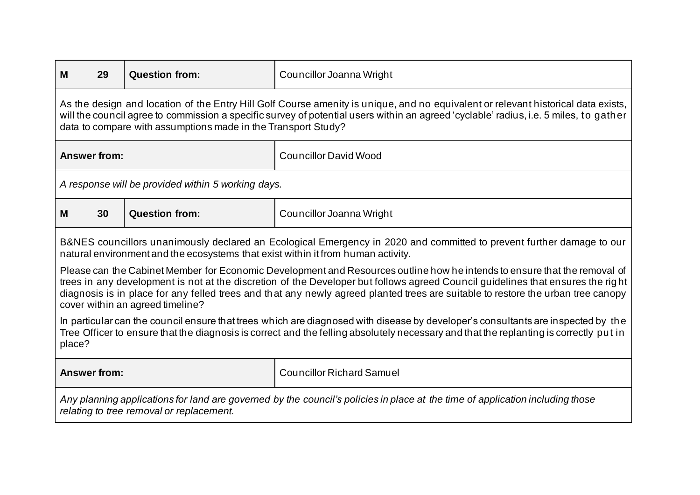| м                                                                                                                                                                                                                                                                                                                                                                                                                                    | 29                                                                                                                                                                                                                                                                                                                                          | <b>Question from:</b>                              | Councillor Joanna Wright         |  |
|--------------------------------------------------------------------------------------------------------------------------------------------------------------------------------------------------------------------------------------------------------------------------------------------------------------------------------------------------------------------------------------------------------------------------------------|---------------------------------------------------------------------------------------------------------------------------------------------------------------------------------------------------------------------------------------------------------------------------------------------------------------------------------------------|----------------------------------------------------|----------------------------------|--|
|                                                                                                                                                                                                                                                                                                                                                                                                                                      | As the design and location of the Entry Hill Golf Course amenity is unique, and no equivalent or relevant historical data exists,<br>will the council agree to commission a specific survey of potential users within an agreed 'cyclable' radius, i.e. 5 miles, to gather<br>data to compare with assumptions made in the Transport Study? |                                                    |                                  |  |
|                                                                                                                                                                                                                                                                                                                                                                                                                                      | <b>Answer from:</b>                                                                                                                                                                                                                                                                                                                         |                                                    | <b>Councillor David Wood</b>     |  |
|                                                                                                                                                                                                                                                                                                                                                                                                                                      |                                                                                                                                                                                                                                                                                                                                             | A response will be provided within 5 working days. |                                  |  |
| M                                                                                                                                                                                                                                                                                                                                                                                                                                    | 30                                                                                                                                                                                                                                                                                                                                          | <b>Question from:</b>                              | Councillor Joanna Wright         |  |
|                                                                                                                                                                                                                                                                                                                                                                                                                                      | B&NES councillors unanimously declared an Ecological Emergency in 2020 and committed to prevent further damage to our<br>natural environment and the ecosystems that exist within it from human activity.                                                                                                                                   |                                                    |                                  |  |
| Please can the Cabinet Member for Economic Development and Resources outline how he intends to ensure that the removal of<br>trees in any development is not at the discretion of the Developer but follows agreed Council guidelines that ensures the right<br>diagnosis is in place for any felled trees and that any newly agreed planted trees are suitable to restore the urban tree canopy<br>cover within an agreed timeline? |                                                                                                                                                                                                                                                                                                                                             |                                                    |                                  |  |
| In particular can the council ensure that trees which are diagnosed with disease by developer's consultants are inspected by the<br>Tree Officer to ensure that the diagnosis is correct and the felling absolutely necessary and that the replanting is correctly put in<br>place?                                                                                                                                                  |                                                                                                                                                                                                                                                                                                                                             |                                                    |                                  |  |
| <b>Answer from:</b>                                                                                                                                                                                                                                                                                                                                                                                                                  |                                                                                                                                                                                                                                                                                                                                             |                                                    | <b>Councillor Richard Samuel</b> |  |
| Any planning applications for land are governed by the council's policies in place at the time of application including those<br>relating to tree removal or replacement.                                                                                                                                                                                                                                                            |                                                                                                                                                                                                                                                                                                                                             |                                                    |                                  |  |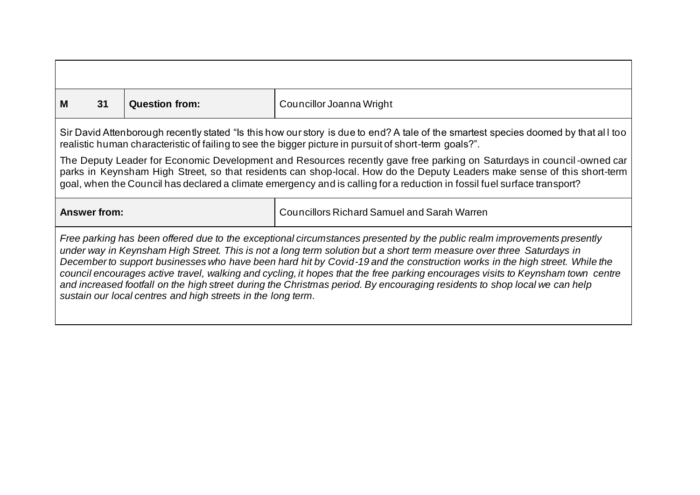| м                                                                                                                                                                                                                                                                                                                                                                                                                                                                                                                                                                                                                                                                                                             | 31                                                                                                                                                                                                                                          | <b>Question from:</b> | Councillor Joanna Wright |  |  |
|---------------------------------------------------------------------------------------------------------------------------------------------------------------------------------------------------------------------------------------------------------------------------------------------------------------------------------------------------------------------------------------------------------------------------------------------------------------------------------------------------------------------------------------------------------------------------------------------------------------------------------------------------------------------------------------------------------------|---------------------------------------------------------------------------------------------------------------------------------------------------------------------------------------------------------------------------------------------|-----------------------|--------------------------|--|--|
|                                                                                                                                                                                                                                                                                                                                                                                                                                                                                                                                                                                                                                                                                                               | Sir David Attenborough recently stated "Is this how our story is due to end? A tale of the smartest species doomed by that all too<br>realistic human characteristic of failing to see the bigger picture in pursuit of short-term goals?". |                       |                          |  |  |
| The Deputy Leader for Economic Development and Resources recently gave free parking on Saturdays in council-owned car<br>parks in Keynsham High Street, so that residents can shop-local. How do the Deputy Leaders make sense of this short-term<br>goal, when the Council has declared a climate emergency and is calling for a reduction in fossil fuel surface transport?                                                                                                                                                                                                                                                                                                                                 |                                                                                                                                                                                                                                             |                       |                          |  |  |
|                                                                                                                                                                                                                                                                                                                                                                                                                                                                                                                                                                                                                                                                                                               | <b>Answer from:</b><br><b>Councillors Richard Samuel and Sarah Warren</b>                                                                                                                                                                   |                       |                          |  |  |
| Free parking has been offered due to the exceptional circumstances presented by the public realm improvements presently<br>under way in Keynsham High Street. This is not a long term solution but a short term measure over three Saturdays in<br>December to support businesses who have been hard hit by Covid-19 and the construction works in the high street. While the<br>council encourages active travel, walking and cycling, it hopes that the free parking encourages visits to Keynsham town centre<br>and increased footfall on the high street during the Christmas period. By encouraging residents to shop local we can help<br>sustain our local centres and high streets in the long term. |                                                                                                                                                                                                                                             |                       |                          |  |  |

Г

┑